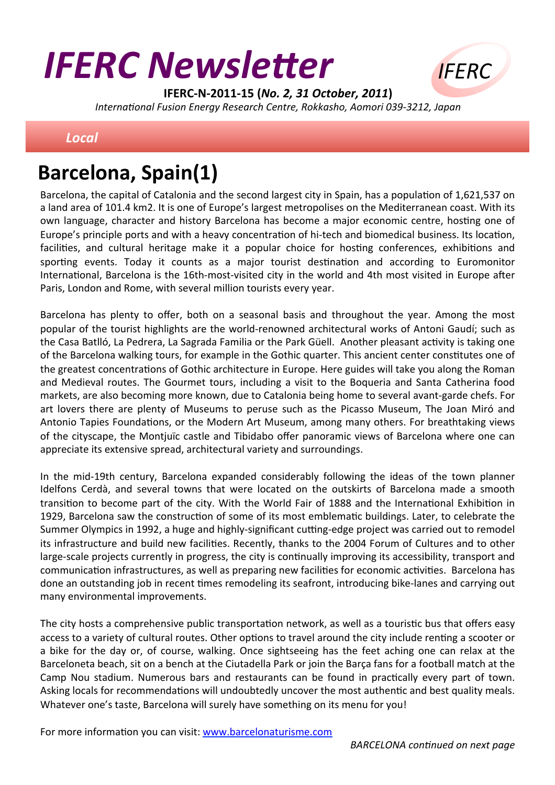# **IFERC Newsletter**



IFERC-N-2011-15 (No. 2, 31 October, 2011) International Fusion Energy Research Centre, Rokkasho, Aomori 039-3212, Japan

### **Local**

## **Barcelona, Spain(1)**

Barcelona, the capital of Catalonia and the second largest city in Spain, has a population of 1,621,537 on a land area of 101.4 km2. It is one of Europe's largest metropolises on the Mediterranean coast. With its own language, character and history Barcelona has become a major economic centre, hosting one of Europe's principle ports and with a heavy concentration of hi-tech and biomedical business. Its location, facilities, and cultural heritage make it a popular choice for hosting conferences, exhibitions and sporting events. Today it counts as a major tourist destination and according to Euromonitor International, Barcelona is the 16th-most-visited city in the world and 4th most visited in Europe after Paris, London and Rome, with several million tourists every year.

Barcelona has plenty to offer, both on a seasonal basis and throughout the year. Among the most popular of the tourist highlights are the world-renowned architectural works of Antoni Gaudí; such as the Casa Batlló. La Pedrera, La Sagrada Familia or the Park Güell. Another pleasant activity is taking one of the Barcelona walking tours, for example in the Gothic quarter. This ancient center constitutes one of the greatest concentrations of Gothic architecture in Europe. Here guides will take you along the Roman and Medieval routes. The Gourmet tours, including a visit to the Boqueria and Santa Catherina food markets, are also becoming more known, due to Catalonia being home to several avant-garde chefs. For art lovers there are plenty of Museums to peruse such as the Picasso Museum, The Joan Miró and Antonio Tapies Foundations, or the Modern Art Museum, among many others. For breathtaking views of the cityscape, the Montiuïc castle and Tibidabo offer panoramic views of Barcelona where one can appreciate its extensive spread, architectural variety and surroundings.

In the mid-19th century, Barcelona expanded considerably following the ideas of the town planner Idelfons Cerdà, and several towns that were located on the outskirts of Barcelona made a smooth transition to become part of the city. With the World Fair of 1888 and the International Exhibition in 1929, Barcelona saw the construction of some of its most emblematic buildings. Later, to celebrate the Summer Olympics in 1992, a huge and highly-significant cutting-edge project was carried out to remodel its infrastructure and build new facilities. Recently, thanks to the 2004 Forum of Cultures and to other large-scale projects currently in progress, the city is continually improving its accessibility, transport and communication infrastructures, as well as preparing new facilities for economic activities. Barcelona has done an outstanding job in recent times remodeling its seafront, introducing bike-lanes and carrying out many environmental improvements.

The city hosts a comprehensive public transportation network, as well as a touristic bus that offers easy access to a variety of cultural routes. Other options to travel around the city include renting a scooter or a bike for the day or, of course, walking. Once sightseeing has the feet aching one can relax at the Barceloneta beach, sit on a bench at the Ciutadella Park or join the Barça fans for a football match at the Camp Nou stadium. Numerous bars and restaurants can be found in practically every part of town. Asking locals for recommendations will undoubtedly uncover the most authentic and best quality meals. Whatever one's taste, Barcelona will surely have something on its menu for you!